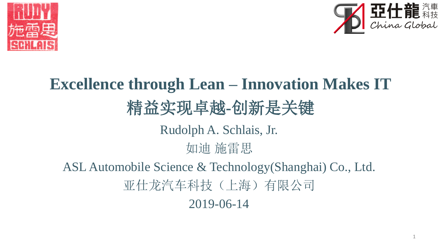



## **Excellence through Lean – Innovation Makes IT** 精益实现卓越**-**创新是关键 Rudolph A. Schlais, Jr. 如迪 施雷思 ASL Automobile Science & Technology(Shanghai) Co., Ltd. 亚仕龙汽车科技(上海)有限公司 2019-06-14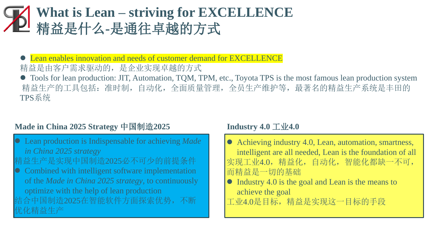### **What is Lean – striving for EXCELLENCE** 精益是什么**-**是通往卓越的方式

Lean enables innovation and needs of customer demand for EXCELLENCE 精益是由客户需求驱动的,是企业实现卓越的方式

⚫ Tools for lean production: JIT, Automation, TQM, TPM, etc., Toyota TPS is the most famous lean production system 精益生产的工具包括:准时制,自动化,全面质量管理,全员生产维护等,最著名的精益生产系统是丰田的 TPS系统

#### **Made in China 2025 Strategy** 中国制造**2025 Industry 4.0** 工业**4.0**

- ⚫ Lean production is Indispensable for achieving *Made in China 2025 strategy*
- 精益生产是实现中国制造2025必不可少的前提条件
- ⚫ Combined with intelligent software implementation of the *Made in China 2025 strategy*, to continuously optimize with the help of lean production
- 结合中国制造2025在智能软件方面探索优势,不断 优化精益生产

- Achieving industry 4.0, Lean, automation, smartness, intelligent are all needed, Lean is the foundation of all 实现工业4.0, 精益化, 自动化, 智能化都缺一不可, 而精益是一切的基础
- ⚫ Industry 4.0 is the goal and Lean is the means to achieve the goal 工业4.0是目标,精益是实现这一目标的手段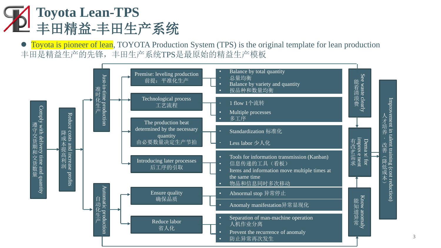

Toyota is pioneer of lean, TOYOTA Production System (TPS) is the original template for lean production 丰田是精益生产的先锋,丰田生产系统TPS是最原始的精益生产模板



3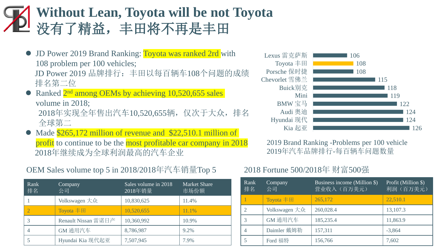### **Without Lean, Toyota will be not Toyota** 没有了精益,丰田将不再是丰田

- JD Power 2019 Brand Ranking: Toyota was ranked 2rd with 108 problem per 100 vehicles; JD Power 2019 品牌排行: 丰田以每百辆车108个问题的成绩 排名第二位
- Ranked 2<sup>nd</sup> among OEMs by achieving 10,520,655 sales volume in 2018; 2018年实现全年售出汽车10,520,655辆,仅次于大众,排名

全球第二

Made \$265,172 million of revenue and \$22,510.1 million of profit to continue to be the most profitable car company in 2018 2018年继续成为全球利润最高的汽车企业

#### OEM Sales volume top 5 in 2018/2018年汽车销量Top 5

| Rank<br>排名 | Company<br>公司       | Sales volume in 2018<br>2018年销量 | <b>Market Share</b><br>市场份额 |
|------------|---------------------|---------------------------------|-----------------------------|
|            | Volkswagen 大众       | 10,830,625                      | 11.4%                       |
|            | Toyota $#H$         | 10,520,655                      | 11.1%                       |
|            | Renault Nissan 雷诺日产 | 10,360,992                      | 10.9%                       |
|            | GM 通用汽车             | 8,786,987                       | 9.2%                        |
|            | Hyundai Kia 现代起亚    | 7,507,945                       | 7.9%                        |



2019 Brand Ranking -Problems per 100 vehicle 2019年汽车品牌排行-每百辆车问题数量

#### 2018 Fortune 500/2018年 财富500强

| Rank<br>排名     | Company<br>公司              | Business income (Million \$)<br>营业收入(百万美元) | Profit (Million \$)<br>利润 (百万美元) |
|----------------|----------------------------|--------------------------------------------|----------------------------------|
|                | Toyota $\equiv$ $\boxplus$ | 265,172                                    | 22,510.1                         |
| $\overline{2}$ | Volkswagen 大众              | 260,028.4                                  | 13,107.3                         |
| 3              | GM 通用汽车                    | 185,235.4                                  | 11,863.9                         |
| 4              | Daimler 戴姆勒                | 157,311                                    | $-3,864$                         |
|                | Ford 福特                    | 156,766                                    | 7,602                            |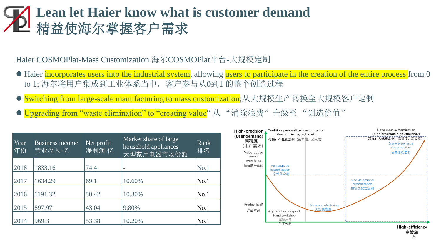#### **Lean let Haier know what is customer demand** 精益使海尔掌握客户需求

Haier COSMOPlat-Mass Customization 海尔COSMOPlat平台-大规模定制

- Haier incorporates users into the industrial system, allowing users to participate in the creation of the entire process from 0 to 1; 海尔将用户集成到工业体系当中,客户参与从0到1 的整个创造过程
- witching from large-scale manufacturing to mass customization;从大规模生产转换至大规模客户定制
- Upgrading from "waste elimination" to "creating value" 从 "消除浪费"升级至 "创造价值"

| Year<br>年份 | <b>Business income</b><br>营业收入-亿 | Net profit<br>净利润-亿 | Market share of large<br>household appliances<br>大型家用电器市场份额 | Rank<br>排名 |
|------------|----------------------------------|---------------------|-------------------------------------------------------------|------------|
| 2018       | 1833.16                          | 74.4                |                                                             | No.1       |
|            |                                  |                     |                                                             |            |
| 2017       | 1634.29                          | 69.1                | 10.60%                                                      | No.1       |
| 2016       | 1191.32                          | 50.42               | 10.30%                                                      | No.1       |
| 2015       | 897.97                           | 43.04               | 9.80%                                                       | No.1       |
| 2014       | 969.3                            | 53.38               | 10.20%                                                      | No.1       |

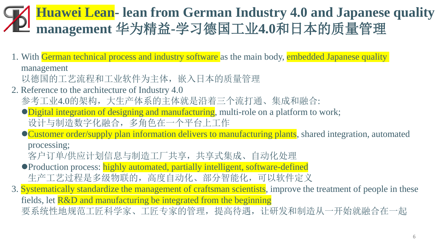### **Huawei Lean- lean from German Industry 4.0 and Japanese quality management** 华为精益**-**学习德国工业**4.0**和日本的质量管理

1. With German technical process and industry software as the main body, embedded Japanese quality

management

以德国的工艺流程和工业软件为主体,嵌入日本的质量管理

- 2. Reference to the architecture of Industry 4.0 参考工业4.0的架构,大生产体系的主体就是沿着三个流打通、集成和融合:
	- Digital integration of designing and manufacturing, multi-role on a platform to work; 设计与制造数字化融合,多角色在一个平台上工作
	- Customer order/supply plan information delivers to manufacturing plants, shared integration, automated processing;

客户订单/供应计划信息与制造工厂共享,共享式集成、自动化处理

- ●Production process: highly automated, partially intelligent, software-defined 生产工艺过程是多级物联的,高度自动化、部分智能化,可以软件定义
- 3. Systematically standardize the management of craftsman scientists, improve the treatment of people in these fields, let R&D and manufacturing be integrated from the beginning 要系统性地规范工匠科学家、工匠专家的管理,提高待遇,让研发和制造从一开始就融合在一起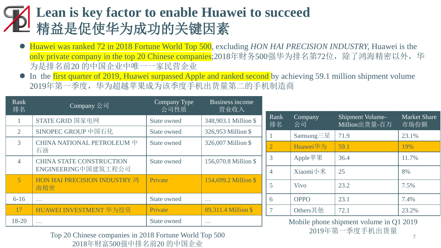### **Lean is key factor to enable Huawei to succeed** 精益是促使华为成功的关键因素

- ⚫ Huawei was ranked 72 in 2018 Fortune World Top 500, excluding *HON HAI PRECISION INDUSTRY,* Huawei is the only private company in the top 20 Chinese companies;2018年财务500强华为排名第72位,除了鸿海精密以外,华 为是排名前20 的中国企业中唯一一家民营企业
- In the first quarter of 2019, Huawei surpassed Apple and ranked second by achieving 59.1 million shipment volume 2019年第一季度,华为超越苹果成为该季度手机出货量第二的手机制造商

| Rank<br>排名     | Company 公司                          | Company Type<br>公司性质 | Business income<br>营业收入 |                                                   |                             |                                   |                             |
|----------------|-------------------------------------|----------------------|-------------------------|---------------------------------------------------|-----------------------------|-----------------------------------|-----------------------------|
|                | STATE GRID 国家电网                     | <b>State owned</b>   | 348,903.1 Million \$    | Rank<br>排名                                        | Company<br>公司               | Shipment Volume-<br>Million出货量-百万 | <b>Market Share</b><br>市场份额 |
| $\overline{2}$ | SINOPEC GROUP 中国石化                  | State owned          | 326,953 Million \$      |                                                   | Samsung $\equiv \mathbb{E}$ | 71.9                              | 23.1%                       |
| 3 <sup>1</sup> | CHINA NATIONAL PETROLEUM 中<br>石油    | <b>State owned</b>   | 326,007 Million \$      |                                                   | Huawei华为                    | 59.1                              | 19%                         |
| $\overline{4}$ | <b>CHINA STATE CONSTRUCTION</b>     | State owned          | 156,070.8 Million \$    | 3                                                 | Apple苹果                     | 36.4                              | 11.7%                       |
|                | ENGINEERING中国建筑工程公司                 |                      |                         | $\overline{4}$                                    | Xiaomi小米                    | 25                                | 8%                          |
| 5 <sup>1</sup> | HON HAI PRECISION INDUSTRY 鸿<br>海精密 | Private              | 154,699.2 Million \$    | 5                                                 | <b>Vivo</b>                 | 23.2                              | 7.5%                        |
| $6 - 16$       | $\sim$ $\sim$ $\sim$                | State owned          | $\sim$ $\sim$ $\sim$    | 6                                                 | <b>OPPO</b>                 | 23.1                              | 7.4%                        |
| 17             | HUAWEI INVESTMENT 华为投资              | Private              | 89,311.4 Million \$     |                                                   | Others其他                    | 72.1                              | 23.2%                       |
| 18-20          | $\sim$ . $\sim$                     | <b>State owned</b>   | $\sim$ $\sim$ $\sim$    | Mobile phone shipment volume in Q1 2019<br>2010Hb |                             |                                   |                             |

Top 20 Chinese companies in 2018 Fortune World Top 500 2019年第一季度手机出货量 2018年财富500强中排名前20 的中国企业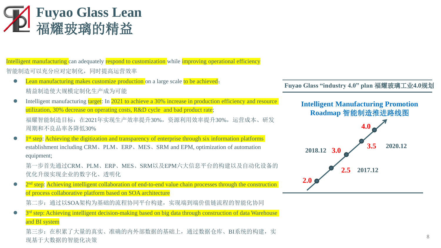

Intelligent manufacturing can adequately respond to customization while improving operational efficiency

智能制造可以充分应对定制化,同时提高运营效率

● Lean manufacturing makes customize production on a large scale to be achieved; 精益制造使大规模定制化生产成为可能

• Intelligent manufacturing target: In 2021 to achieve a 30% increase in production efficiency and resource utilization, 30% decrease on operating costs, R&D cycle and bad product rate; 福耀智能制造目标:在2021年实现生产效率提升30%,资源利用效率提升30%,运营成本、研发 周期和不良品率各降低30%

• 1<sup>st</sup> step: Achieving the digitization and transparency of enterprise through six information platforms establishment including CRM、PLM、ERP、MES、SRM and EPM, optimization of automation equipment;

第一步首先通过CRM、PLM、ERP、MES、SRM以及EPM六大信息平台的构建以及自动化设备的 优化升级实现企业的数字化、透明化

• 2<sup>nd</sup> step: Achieving intelligent collaboration of end-to-end value chain processes through the construction of process collaborative platform based on SOA architecture

第二步:通过以SOA架构为基础的流程协同平台构建,实现端到端价值链流程的智能化协同

• 3<sup>rd</sup> step: Achieving intelligent decision-making based on big data through construction of data Warehouse and BI system

第三步: 在积累了大量的真实、准确的内外部数据的基础上, 通过数据仓库、BI系统的构建, 实 现基于大数据的智能化决策

**Fuyao Glass "industry 4.0" plan** 福耀玻璃工业**4.0**规划

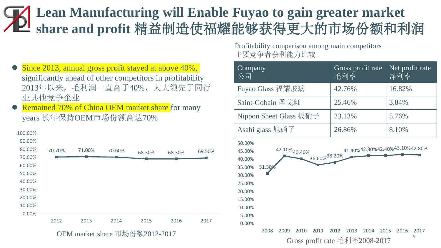#### **Lean Manufacturing will Enable Fuyao to gain greater market share and profit** 精益制造使福耀能够获得更大的市场份额和利润

- Since 2013, annual gross profit stayed at above 40%, significantly ahead of other competitors in profitability 2013年以来,毛利润一直高于40%,大大领先于同行 业其他竞争企业
- Remained 70% of China OEM market share for many years 长年保持OEM市场份额高达70%



OEM market share 市场份额2012-2017

Profitability comparison among main competitors 主要竞争者获利能力比较

| Company<br>公司                                                                                                                                        | Gross profit rate<br>毛利率                                       | Net profit rate<br>净利率         |  |
|------------------------------------------------------------------------------------------------------------------------------------------------------|----------------------------------------------------------------|--------------------------------|--|
| Fuyao Glass 福耀玻璃                                                                                                                                     | 42.76%                                                         | 16.82%                         |  |
| Saint-Gobain 圣戈班                                                                                                                                     | 25.46%                                                         | 3.84%                          |  |
| Nippon Sheet Glass 板硝子                                                                                                                               | 23.13%                                                         | 5.76%                          |  |
| Asahi glass 旭硝子                                                                                                                                      | 26.86%                                                         | 8.10%                          |  |
| 50.00%<br>42.10% 40.40%<br>45.00%<br>36.60% 38.20%<br>40.00%<br>31.309<br>35.00%<br>30.00%<br>25.00%<br>20.00%<br>15.00%<br>10.00%<br>5.00%<br>0.00% |                                                                | 41.40%42.30%42.40%43.10%42.80% |  |
| 2008<br>2009<br>2010<br>2011                                                                                                                         | 2012<br>2013<br>2014<br>2015<br>Gross profit rate 毛利率2008-2017 | 2016<br>2017<br>9              |  |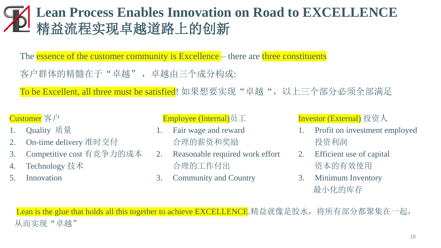#### **Lean Process Enables Innovation on Road to EXCELLENCE** 精益流程实现卓越道路上的创新

The **essence of the customer community is Excellence** – there are **three constituents** 

客户群体的精髓在于"卓越",卓越由三个成分构成:

To be Excellent, all three must be satisfied! 如果想要实现"卓越",以上三个部分必须全部满足

#### Customer 客户

- 1. Quality 质量
- 2. On-time delivery 准时交付
- 3. Competitive cost 有竞争力的成本
- 4. Technology 技术
- 5. Innovation

#### Employee (Internal)员工

- 1. Fair wage and reward 合理的薪资和奖励
- 2. Reasonable required work effort 合理的工作付出
- 3. Community and Country

Investor (External) 投资人

- 1. Profit on investment employed 投资利润
- 2. Efficient use of capital 资本的有效使用
- 3. Minimum Inventory 最小化的库存

Lean is the glue that holds all this together to achieve EXCELLENCE.精益就像是胶水,将所有部分都聚集在一起, 从而实现"卓越"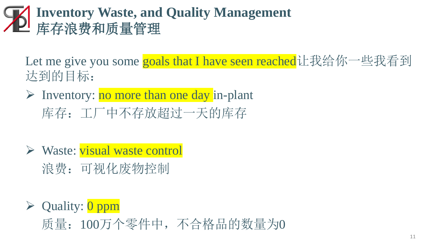### **Inventory Waste, and Quality Management** 库存浪费和质量管理

Let me give you some goals that I have seen reached让我给你一些我看到 达到的目标:

- $\triangleright$  Inventory: no more than one day in-plant 库存:工厂中不存放超过一天的库存
- ➢ Waste: visual waste control
	- 浪费:可视化废物控制
- $\triangleright$  Quality:  $\overline{0}$  ppm 质量:100万个零件中,不合格品的数量为0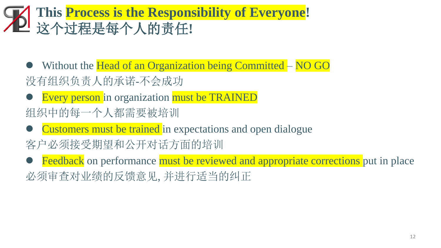### **This Process is the Responsibility of Everyone!** 这个过程是每个人的责任**!**

- Without the Head of an Organization being Committed NO GO 没有组织负责人的承诺-不会成功
- Every person in organization must be TRAINED
- 组织中的每一个人都需要被培训
- Customers must be trained in expectations and open dialogue 客户必须接受期望和公开对话方面的培训
- Feedback on performance must be reviewed and appropriate corrections put in place 必须审查对业绩的反馈意见, 并进行适当的纠正